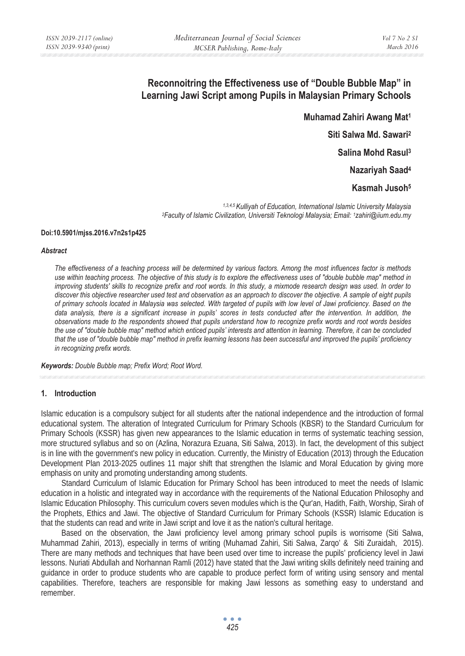# **Reconnoitring the Effectiveness use of "Double Bubble Map" in Learning Jawi Script among Pupils in Malaysian Primary Schools**

**Muhamad Zahiri Awang Mat1 Siti Salwa Md. Sawari2**

**Salina Mohd Rasul3**

**Nazariyah Saad4**

**Kasmah Jusoh5**

*1,3,4,5 Kulliyah of Education, International Islamic University Malaysia 2Faculty of Islamic Civilization, Universiti Teknologi Malaysia; Email: 1zahiri@iium.edu.my* 

#### **Doi:10.5901/mjss.2016.v7n2s1p425**

#### *Abstract*

*The effectiveness of a teaching process will be determined by various factors. Among the most influences factor is methods use within teaching process. The objective of this study is to explore the effectiveness uses of "double bubble map" method in improving students' skills to recognize prefix and root words. In this study, a mixmode research design was used. In order to discover this objective researcher used test and observation as an approach to discover the objective. A sample of eight pupils of primary schools located in Malaysia was selected. With targeted of pupils with low level of Jawi proficiency. Based on the*  data analysis, there is a significant increase in pupils' scores in tests conducted after the intervention. In addition, the *observations made to the respondents showed that pupils understand how to recognize prefix words and root words besides the use of "double bubble map" method which enticed pupils' interests and attention in learning. Therefore, it can be concluded that the use of "double bubble map" method in prefix learning lessons has been successful and improved the pupils' proficiency in recognizing prefix words.* 

*Keywords: Double Bubble map; Prefix Word; Root Word.* 

#### **1. Introduction**

Islamic education is a compulsory subject for all students after the national independence and the introduction of formal educational system. The alteration of Integrated Curriculum for Primary Schools (KBSR) to the Standard Curriculum for Primary Schools (KSSR) has given new appearances to the Islamic education in terms of systematic teaching session, more structured syllabus and so on (Azlina, Norazura Ezuana, Siti Salwa, 2013). In fact, the development of this subject is in line with the government's new policy in education. Currently, the Ministry of Education (2013) through the Education Development Plan 2013-2025 outlines 11 major shift that strengthen the Islamic and Moral Education by giving more emphasis on unity and promoting understanding among students.

Standard Curriculum of Islamic Education for Primary School has been introduced to meet the needs of Islamic education in a holistic and integrated way in accordance with the requirements of the National Education Philosophy and Islamic Education Philosophy. This curriculum covers seven modules which is the Qur'an, Hadith, Faith, Worship, Sirah of the Prophets, Ethics and Jawi. The objective of Standard Curriculum for Primary Schools (KSSR) Islamic Education is that the students can read and write in Jawi script and love it as the nation's cultural heritage.

Based on the observation, the Jawi proficiency level among primary school pupils is worrisome (Siti Salwa, Muhammad Zahiri, 2013), especially in terms of writing (Muhamad Zahiri, Siti Salwa, Zarqo' & Siti Zuraidah, 2015). There are many methods and techniques that have been used over time to increase the pupils' proficiency level in Jawi lessons. Nuriati Abdullah and Norhannan Ramli (2012) have stated that the Jawi writing skills definitely need training and guidance in order to produce students who are capable to produce perfect form of writing using sensory and mental capabilities. Therefore, teachers are responsible for making Jawi lessons as something easy to understand and remember.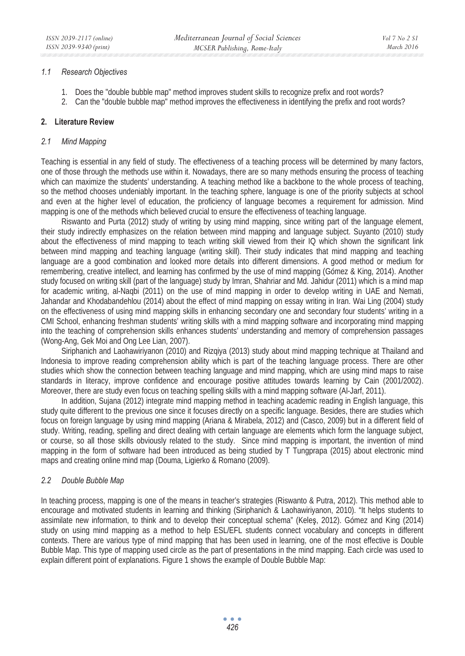#### *1.1 Research Objectives*

- 1. Does the "double bubble map" method improves student skills to recognize prefix and root words?
- 2. Can the "double bubble map" method improves the effectiveness in identifying the prefix and root words?

#### **2. Literature Review**

#### *2.1 Mind Mapping*

Teaching is essential in any field of study. The effectiveness of a teaching process will be determined by many factors, one of those through the methods use within it. Nowadays, there are so many methods ensuring the process of teaching which can maximize the students' understanding. A teaching method like a backbone to the whole process of teaching, so the method chooses undeniably important. In the teaching sphere, language is one of the priority subjects at school and even at the higher level of education, the proficiency of language becomes a requirement for admission. Mind mapping is one of the methods which believed crucial to ensure the effectiveness of teaching language.

Riswanto and Purta (2012) study of writing by using mind mapping, since writing part of the language element, their study indirectly emphasizes on the relation between mind mapping and language subject. Suyanto (2010) study about the effectiveness of mind mapping to teach writing skill viewed from their IQ which shown the significant link between mind mapping and teaching language (writing skill). Their study indicates that mind mapping and teaching language are a good combination and looked more details into different dimensions. A good method or medium for remembering, creative intellect, and learning has confirmed by the use of mind mapping (Gómez & King, 2014). Another study focused on writing skill (part of the language) study by Imran, Shahriar and Md. Jahidur (2011) which is a mind map for academic writing, al-Naqbi (2011) on the use of mind mapping in order to develop writing in UAE and Nemati, Jahandar and Khodabandehlou (2014) about the effect of mind mapping on essay writing in Iran. Wai Ling (2004) study on the effectiveness of using mind mapping skills in enhancing secondary one and secondary four students' writing in a CMI School, enhancing freshman students' writing skills with a mind mapping software and incorporating mind mapping into the teaching of comprehension skills enhances students' understanding and memory of comprehension passages (Wong-Ang, Gek Moi and Ong Lee Lian, 2007).

Siriphanich and Laohawiriyanon (2010) and Rizqiya (2013) study about mind mapping technique at Thailand and Indonesia to improve reading comprehension ability which is part of the teaching language process. There are other studies which show the connection between teaching language and mind mapping, which are using mind maps to raise standards in literacy, improve confidence and encourage positive attitudes towards learning by Cain (2001/2002). Moreover, there are study even focus on teaching spelling skills with a mind mapping software (Al-Jarf, 2011).

In addition, Sujana (2012) integrate mind mapping method in teaching academic reading in English language, this study quite different to the previous one since it focuses directly on a specific language. Besides, there are studies which focus on foreign language by using mind mapping (Ariana & Mirabela, 2012) and (Casco, 2009) but in a different field of study. Writing, reading, spelling and direct dealing with certain language are elements which form the language subject, or course, so all those skills obviously related to the study. Since mind mapping is important, the invention of mind mapping in the form of software had been introduced as being studied by T Tungprapa (2015) about electronic mind maps and creating online mind map (Douma, Ligierko & Romano (2009).

#### *2.2 Double Bubble Map*

In teaching process, mapping is one of the means in teacher's strategies (Riswanto & Putra, 2012). This method able to encourage and motivated students in learning and thinking (Siriphanich & Laohawiriyanon, 2010). "It helps students to assimilate new information, to think and to develop their conceptual schema" (Keles, 2012). Gómez and King (2014) study on using mind mapping as a method to help ESL/EFL students connect vocabulary and concepts in different contexts. There are various type of mind mapping that has been used in learning, one of the most effective is Double Bubble Map. This type of mapping used circle as the part of presentations in the mind mapping. Each circle was used to explain different point of explanations. Figure 1 shows the example of Double Bubble Map: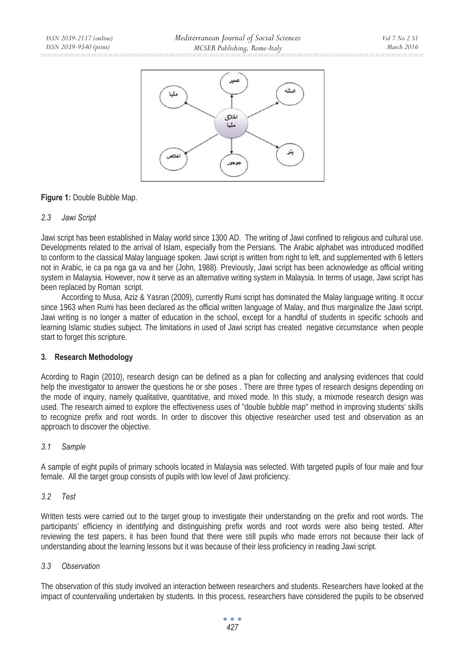

## **Figure 1:** Double Bubble Map.

#### *2.3 Jawi Script*

Jawi script has been established in Malay world since 1300 AD. The writing of Jawi confined to religious and cultural use. Developments related to the arrival of Islam, especially from the Persians. The Arabic alphabet was introduced modified to conform to the classical Malay language spoken. Jawi script is written from right to left, and supplemented with 6 letters not in Arabic, ie ca pa nga ga va and her (John, 1988). Previously, Jawi script has been acknowledge as official writing system in Malaysia. However, now it serve as an alternative writing system in Malaysia. In terms of usage, Jawi script has been replaced by Roman script.

According to Musa, Aziz & Yasran (2009), currently Rumi script has dominated the Malay language writing. It occur since 1963 when Rumi has been declared as the official written language of Malay, and thus marginalize the Jawi script. Jawi writing is no longer a matter of education in the school, except for a handful of students in specific schools and learning Islamic studies subject. The limitations in used of Jawi script has created negative circumstance when people start to forget this scripture.

# **3. Research Methodology**

Acording to Ragin (2010), research design can be defined as a plan for collecting and analysing evidences that could help the investigator to answer the questions he or she poses . There are three types of research designs depending on the mode of inquiry, namely qualitative, quantitative, and mixed mode. In this study, a mixmode research design was used. The research aimed to explore the effectiveness uses of "double bubble map" method in improving students' skills to recognize prefix and root words. In order to discover this objective researcher used test and observation as an approach to discover the objective.

#### *3.1 Sample*

A sample of eight pupils of primary schools located in Malaysia was selected. With targeted pupils of four male and four female. All the target group consists of pupils with low level of Jawi proficiency.

#### *3.2 Test*

Written tests were carried out to the target group to investigate their understanding on the prefix and root words. The participants' efficiency in identifying and distinguishing prefix words and root words were also being tested. After reviewing the test papers, it has been found that there were still pupils who made errors not because their lack of understanding about the learning lessons but it was because of their less proficiency in reading Jawi script.

# *3.3 Observation*

The observation of this study involved an interaction between researchers and students. Researchers have looked at the impact of countervailing undertaken by students. In this process, researchers have considered the pupils to be observed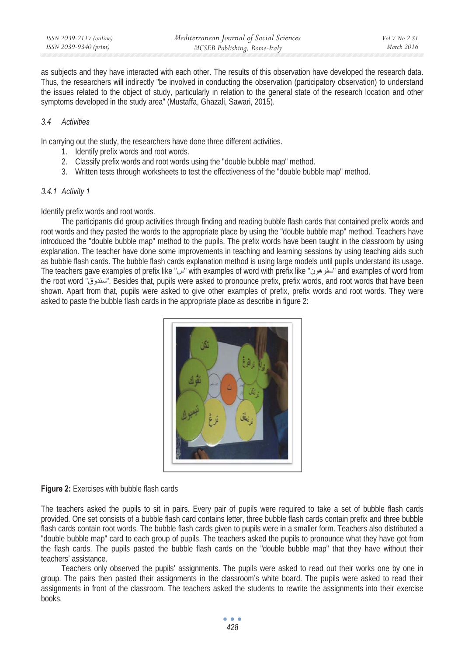as subjects and they have interacted with each other. The results of this observation have developed the research data. Thus, the researchers will indirectly "be involved in conducting the observation (participatory observation) to understand the issues related to the object of study, particularly in relation to the general state of the research location and other symptoms developed in the study area" (Mustaffa, Ghazali, Sawari, 2015).

#### *3.4 Activities*

In carrying out the study, the researchers have done three different activities.

- 1. Identify prefix words and root words.
- 2. Classify prefix words and root words using the "double bubble map" method.
- 3. Written tests through worksheets to test the effectiveness of the "double bubble map" method.

## *3.4.1 Activity 1*

Identify prefix words and root words.

The participants did group activities through finding and reading bubble flash cards that contained prefix words and root words and they pasted the words to the appropriate place by using the "double bubble map" method. Teachers have introduced the "double bubble map" method to the pupils. The prefix words have been taught in the classroom by using explanation. The teacher have done some improvements in teaching and learning sessions by using teaching aids such as bubble flash cards. The bubble flash cards explanation method is using large models until pupils understand its usage. The teachers gave examples of prefix like "س" with examples of word with prefix like "سفو مون" and examples of word from the root word "سندوق". Besides that, pupils were asked to pronounce prefix, prefix words, and root words that have been shown. Apart from that, pupils were asked to give other examples of prefix, prefix words and root words. They were asked to paste the bubble flash cards in the appropriate place as describe in figure 2:



**Figure 2:** Exercises with bubble flash cards

The teachers asked the pupils to sit in pairs. Every pair of pupils were required to take a set of bubble flash cards provided. One set consists of a bubble flash card contains letter, three bubble flash cards contain prefix and three bubble flash cards contain root words. The bubble flash cards given to pupils were in a smaller form. Teachers also distributed a "double bubble map" card to each group of pupils. The teachers asked the pupils to pronounce what they have got from the flash cards. The pupils pasted the bubble flash cards on the "double bubble map" that they have without their teachers' assistance.

Teachers only observed the pupils' assignments. The pupils were asked to read out their works one by one in group. The pairs then pasted their assignments in the classroom's white board. The pupils were asked to read their assignments in front of the classroom. The teachers asked the students to rewrite the assignments into their exercise books.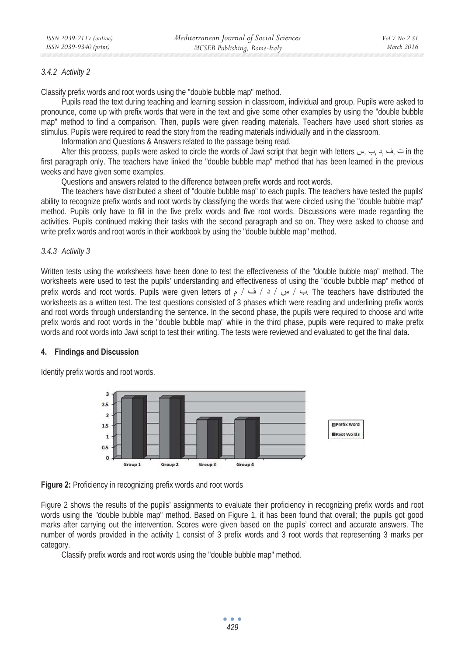#### *3.4.2 Activity 2*

Classify prefix words and root words using the "double bubble map" method.

Pupils read the text during teaching and learning session in classroom, individual and group. Pupils were asked to pronounce, come up with prefix words that were in the text and give some other examples by using the "double bubble map" method to find a comparison. Then, pupils were given reading materials. Teachers have used short stories as stimulus. Pupils were required to read the story from the reading materials individually and in the classroom.

Information and Questions & Answers related to the passage being read.

After this process, pupils were asked to circle the words of Jawi script that begin with letters أَتْ يْ رِيب بِس After this process, pupils were asked to circle the words of Jawi script that begin with letters first paragraph only. The teachers have linked the "double bubble map" method that has been learned in the previous weeks and have given some examples.

Questions and answers related to the difference between prefix words and root words.

The teachers have distributed a sheet of "double bubble map" to each pupils. The teachers have tested the pupils' ability to recognize prefix words and root words by classifying the words that were circled using the "double bubble map" method. Pupils only have to fill in the five prefix words and five root words. Discussions were made regarding the activities. Pupils continued making their tasks with the second paragraph and so on. They were asked to choose and write prefix words and root words in their workbook by using the "double bubble map" method.

#### *3.4.3 Activity 3*

Written tests using the worksheets have been done to test the effectiveness of the "double bubble map" method. The worksheets were used to test the pupils' understanding and effectiveness of using the "double bubble map" method of prefix words and root words. Pupils were given letters of  $\neq$   $\neq$   $\neq$   $\neq$  / $\neq$  7 are teachers have distributed the worksheets as a written test. The test questions consisted of 3 phases which were reading and underlining prefix words and root words through understanding the sentence. In the second phase, the pupils were required to choose and write prefix words and root words in the "double bubble map" while in the third phase, pupils were required to make prefix words and root words into Jawi script to test their writing. The tests were reviewed and evaluated to get the final data.

#### **4. Findings and Discussion**

Identify prefix words and root words.



**Figure 2:** Proficiency in recognizing prefix words and root words

Figure 2 shows the results of the pupils' assignments to evaluate their proficiency in recognizing prefix words and root words using the "double bubble map" method. Based on Figure 1, it has been found that overall; the pupils got good marks after carrying out the intervention. Scores were given based on the pupils' correct and accurate answers. The number of words provided in the activity 1 consist of 3 prefix words and 3 root words that representing 3 marks per category.

Classify prefix words and root words using the "double bubble map" method.

 $\bullet$   $\bullet$   $\bullet$ *429*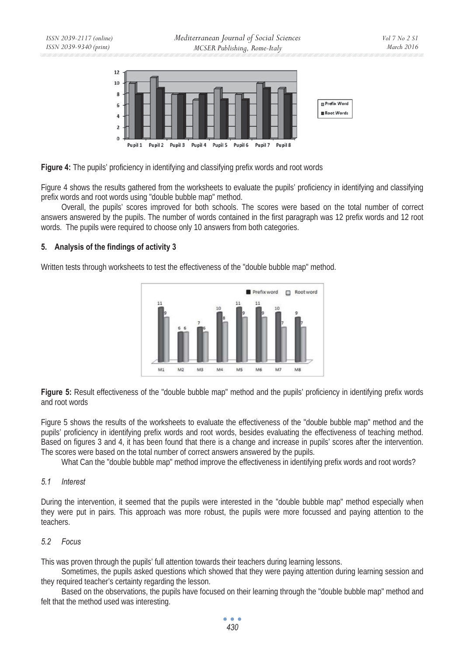

**Figure 4:** The pupils' proficiency in identifying and classifying prefix words and root words

Figure 4 shows the results gathered from the worksheets to evaluate the pupils' proficiency in identifying and classifying prefix words and root words using "double bubble map" method.

Overall, the pupils' scores improved for both schools. The scores were based on the total number of correct answers answered by the pupils. The number of words contained in the first paragraph was 12 prefix words and 12 root words. The pupils were required to choose only 10 answers from both categories.

# **5. Analysis of the findings of activity 3**

Written tests through worksheets to test the effectiveness of the "double bubble map" method.



**Figure 5:** Result effectiveness of the "double bubble map" method and the pupils' proficiency in identifying prefix words and root words

Figure 5 shows the results of the worksheets to evaluate the effectiveness of the "double bubble map" method and the pupils' proficiency in identifying prefix words and root words, besides evaluating the effectiveness of teaching method. Based on figures 3 and 4, it has been found that there is a change and increase in pupils' scores after the intervention. The scores were based on the total number of correct answers answered by the pupils.

What Can the "double bubble map" method improve the effectiveness in identifying prefix words and root words?

# *5.1 Interest*

During the intervention, it seemed that the pupils were interested in the "double bubble map" method especially when they were put in pairs. This approach was more robust, the pupils were more focussed and paying attention to the teachers.

# *5.2 Focus*

This was proven through the pupils' full attention towards their teachers during learning lessons.

Sometimes, the pupils asked questions which showed that they were paying attention during learning session and they required teacher's certainty regarding the lesson.

Based on the observations, the pupils have focused on their learning through the "double bubble map" method and felt that the method used was interesting.

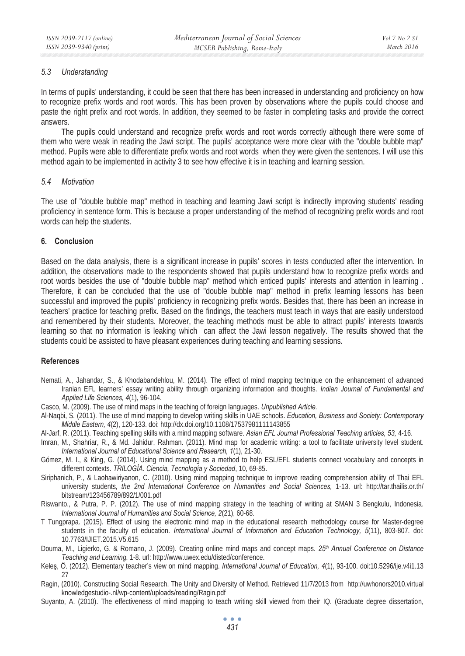## *5.3 Understanding*

In terms of pupils' understanding, it could be seen that there has been increased in understanding and proficiency on how to recognize prefix words and root words. This has been proven by observations where the pupils could choose and paste the right prefix and root words. In addition, they seemed to be faster in completing tasks and provide the correct answers.

The pupils could understand and recognize prefix words and root words correctly although there were some of them who were weak in reading the Jawi script. The pupils' acceptance were more clear with the "double bubble map" method. Pupils were able to differentiate prefix words and root words when they were given the sentences. I will use this method again to be implemented in activity 3 to see how effective it is in teaching and learning session.

#### *5.4 Motivation*

The use of "double bubble map" method in teaching and learning Jawi script is indirectly improving students' reading proficiency in sentence form. This is because a proper understanding of the method of recognizing prefix words and root words can help the students.

# **6. Conclusion**

Based on the data analysis, there is a significant increase in pupils' scores in tests conducted after the intervention. In addition, the observations made to the respondents showed that pupils understand how to recognize prefix words and root words besides the use of "double bubble map" method which enticed pupils' interests and attention in learning . Therefore, it can be concluded that the use of "double bubble map" method in prefix learning lessons has been successful and improved the pupils' proficiency in recognizing prefix words. Besides that, there has been an increase in teachers' practice for teaching prefix. Based on the findings, the teachers must teach in ways that are easily understood and remembered by their students. Moreover, the teaching methods must be able to attract pupils' interests towards learning so that no information is leaking which can affect the Jawi lesson negatively. The results showed that the students could be assisted to have pleasant experiences during teaching and learning sessions.

#### **References**

- Nemati, A., Jahandar, S., & Khodabandehlou, M. (2014). The effect of mind mapping technique on the enhancement of advanced Iranian EFL learners' essay writing ability through organizing information and thoughts. *Indian Journal of Fundamental and Applied Life Sciences, 4*(1), 96-104.
- Casco, M. (2009). The use of mind maps in the teaching of foreign languages. *Unpublished Article.*
- Al-Naqbi, S. (2011). The use of mind mapping to develop writing skills in UAE schools. *Education, Business and Society: Contemporary Middle Eastern, 4*(2), 120-133. doi: http://dx.doi.org/10.1108/17537981111143855
- Al-Jarf, R. (2011). Teaching spelling skills with a mind mapping software. *Asian EFL Journal Professional Teaching articles, 53,* 4-16.
- Imran, M., Shahriar, R., & Md. Jahidur, Rahman. (2011). Mind map for academic writing: a tool to facilitate university level student. *International Journal of Educational Science and Research, 1*(1), 21-30.
- Gómez, M. I., & King, G. (2014). Using mind mapping as a method to help ESL/EFL students connect vocabulary and concepts in different contexts. *TRILOGÍA. Ciencia, Tecnología y Sociedad*, 10, 69-85.
- Siriphanich, P., & Laohawiriyanon, C. (2010). Using mind mapping technique to improve reading comprehension ability of Thai EFL university students*, the 2nd International Conference on Humanities and Social Sciences,* 1-13. url: http://tar.thailis.or.th/ bitstream/123456789/892/1/001.pdf
- Riswanto., & Putra, P. P. (2012). The use of mind mapping strategy in the teaching of writing at SMAN 3 Bengkulu, Indonesia. *International Journal of Humanities and Social Science, 2*(21), 60-68.
- T Tungprapa. (2015). Effect of using the electronic mind map in the educational research methodology course for Master-degree students in the faculty of education. *International Journal of Information and Education Technology, 5*(11), 803-807. doi: 10.7763/IJIET.2015.V5.615
- Douma, M., Ligierko, G. & Romano, J. (2009). Creating online mind maps and concept maps. *25th Annual Conference on Distance Teaching and Learning.* 1-8. url: http://www.uwex.edu/disted/conference.
- Keleş, Ö. (2012). Elementary teacher's view on mind mapping. International Journal of Education, 4(1), 93-100. doi:10.5296/ije.v4i1.13 27
- Ragin, (2010). Constructing Social Research. The Unity and Diversity of Method. Retrieved 11/7/2013 from http://uwhonors2010.virtual knowledgestudio-.nl/wp-content/uploads/reading/Ragin.pdf
- Suyanto, A. (2010). The effectiveness of mind mapping to teach writing skill viewed from their IQ. (Graduate degree dissertation,